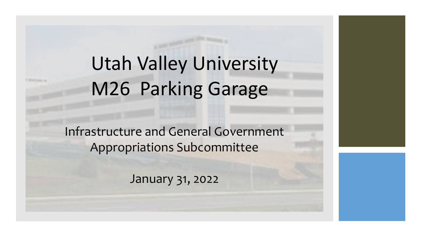## Utah Valley University M26 Parking Garage

Infrastructure and General Government Appropriations Subcommittee

January 31, 2022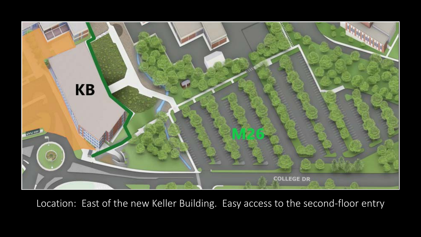

Location: East of the new Keller Building. Easy access to the second-floor entry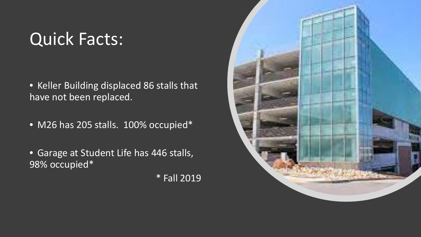## Quick Facts:

- Keller Building displaced 86 stalls that have not been replaced.
- M26 has 205 stalls. 100% occupied\*
- Garage at Student Life has 446 stalls, 98% occupied\*

\* Fall 2019

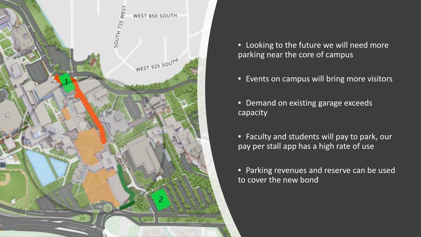

- Looking to the future we will need more parking near the core of campus
- Events on campus will bring more visitors
- Demand on existing garage exceeds capacity
- Faculty and students will pay to park, our pay per stall app has a high rate of use
- Parking revenues and reserve can be used to cover the new bond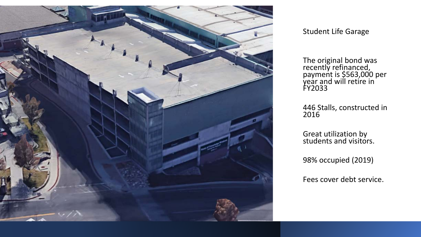

Student Life Garage

The original bond was recently refinanced, payment is \$563,000 per  $\mathop{\mathsf{year}}$  and will retire in  $\mathop{'}$ FY2033

446 Stalls, constructed in 2016

Great utilization by students and visitors.

98% occupied (2019)

Fees cover debt service.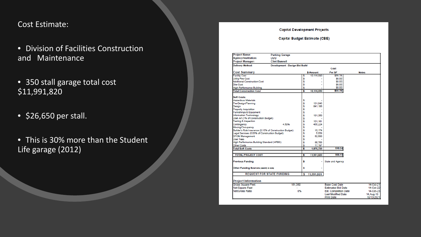#### Cost Estimate:

### • Division of Facilities Construction and Maintenance

### • 350 stall garage total cost \$11,991,820

- \$26,650 per stall.
- This is 30% more than the Student Life garage (2012)

#### **Capital Development Projects**

#### **Capital Budget Estimate (CBE)**

| <b>Parking Garage</b>                    |                                                                                                                                                                                                                                |                                                                                                                      |                                                                                                                                                                                        |                                                            |
|------------------------------------------|--------------------------------------------------------------------------------------------------------------------------------------------------------------------------------------------------------------------------------|----------------------------------------------------------------------------------------------------------------------|----------------------------------------------------------------------------------------------------------------------------------------------------------------------------------------|------------------------------------------------------------|
| UVU                                      |                                                                                                                                                                                                                                |                                                                                                                      |                                                                                                                                                                                        |                                                            |
|                                          |                                                                                                                                                                                                                                |                                                                                                                      |                                                                                                                                                                                        |                                                            |
|                                          |                                                                                                                                                                                                                                |                                                                                                                      |                                                                                                                                                                                        |                                                            |
|                                          |                                                                                                                                                                                                                                |                                                                                                                      | Cost                                                                                                                                                                                   |                                                            |
|                                          |                                                                                                                                                                                                                                | \$ Amount                                                                                                            | Per SF                                                                                                                                                                                 | <b>Notes</b>                                               |
|                                          | s                                                                                                                                                                                                                              |                                                                                                                      | \$55.78                                                                                                                                                                                |                                                            |
|                                          |                                                                                                                                                                                                                                |                                                                                                                      |                                                                                                                                                                                        |                                                            |
|                                          |                                                                                                                                                                                                                                |                                                                                                                      |                                                                                                                                                                                        |                                                            |
|                                          |                                                                                                                                                                                                                                |                                                                                                                      |                                                                                                                                                                                        |                                                            |
|                                          |                                                                                                                                                                                                                                |                                                                                                                      |                                                                                                                                                                                        |                                                            |
|                                          | Ŝ                                                                                                                                                                                                                              | 10,116,090                                                                                                           |                                                                                                                                                                                        |                                                            |
|                                          |                                                                                                                                                                                                                                |                                                                                                                      |                                                                                                                                                                                        |                                                            |
|                                          |                                                                                                                                                                                                                                |                                                                                                                      |                                                                                                                                                                                        |                                                            |
|                                          |                                                                                                                                                                                                                                |                                                                                                                      |                                                                                                                                                                                        |                                                            |
|                                          |                                                                                                                                                                                                                                |                                                                                                                      |                                                                                                                                                                                        |                                                            |
|                                          |                                                                                                                                                                                                                                |                                                                                                                      |                                                                                                                                                                                        |                                                            |
|                                          |                                                                                                                                                                                                                                |                                                                                                                      |                                                                                                                                                                                        |                                                            |
|                                          |                                                                                                                                                                                                                                |                                                                                                                      |                                                                                                                                                                                        |                                                            |
|                                          |                                                                                                                                                                                                                                |                                                                                                                      |                                                                                                                                                                                        |                                                            |
|                                          |                                                                                                                                                                                                                                |                                                                                                                      |                                                                                                                                                                                        |                                                            |
|                                          |                                                                                                                                                                                                                                |                                                                                                                      |                                                                                                                                                                                        |                                                            |
|                                          |                                                                                                                                                                                                                                |                                                                                                                      |                                                                                                                                                                                        |                                                            |
|                                          |                                                                                                                                                                                                                                |                                                                                                                      |                                                                                                                                                                                        |                                                            |
|                                          |                                                                                                                                                                                                                                |                                                                                                                      |                                                                                                                                                                                        |                                                            |
|                                          |                                                                                                                                                                                                                                |                                                                                                                      |                                                                                                                                                                                        |                                                            |
|                                          |                                                                                                                                                                                                                                |                                                                                                                      |                                                                                                                                                                                        |                                                            |
|                                          |                                                                                                                                                                                                                                |                                                                                                                      |                                                                                                                                                                                        |                                                            |
|                                          |                                                                                                                                                                                                                                |                                                                                                                      |                                                                                                                                                                                        |                                                            |
|                                          | s                                                                                                                                                                                                                              |                                                                                                                      | \$10.34                                                                                                                                                                                |                                                            |
|                                          |                                                                                                                                                                                                                                |                                                                                                                      |                                                                                                                                                                                        |                                                            |
|                                          |                                                                                                                                                                                                                                |                                                                                                                      |                                                                                                                                                                                        |                                                            |
|                                          |                                                                                                                                                                                                                                |                                                                                                                      |                                                                                                                                                                                        |                                                            |
|                                          | \$                                                                                                                                                                                                                             |                                                                                                                      | State and Agency                                                                                                                                                                       |                                                            |
| Other Funding Sources (Identity In note) | \$                                                                                                                                                                                                                             |                                                                                                                      |                                                                                                                                                                                        |                                                            |
|                                          | <b>Clint Bunnell</b><br>Utah Art (1% of Construction Budget)<br>4.50%<br>Builder's Risk Insurance (0.15% of Construction Budget)<br>Legal Services (0.05% of Construction Budget)<br>High Performance Building Standard (HPBS) | s<br>\$<br>s<br>s<br>\$<br>\$<br>s<br>\$<br>\$<br>\$<br>\$<br>\$<br>\$<br>\$<br>\$<br>\$<br>\$<br>\$<br>s<br>s<br>\$ | <b>Development - Design Bid Build</b><br>10.116.090<br>131.045<br>841,186<br>181.350<br>101.161<br>455.224<br>15.174<br>5.058<br>62,580<br>65,755<br>17.197<br>1,875,730<br>11,991,820 | \$0.00<br>\$0.00<br>\$0.00<br>\$0.00<br>\$55.78<br>\$66.13 |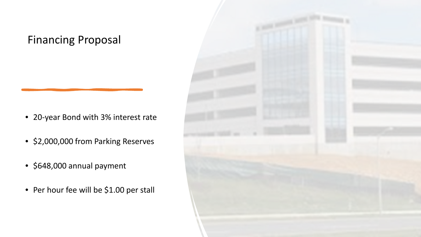### Financing Proposal

- 20-year Bond with 3% interest rate
- \$2,000,000 from Parking Reserves
- \$648,000 annual payment
- Per hour fee will be \$1.00 per stall